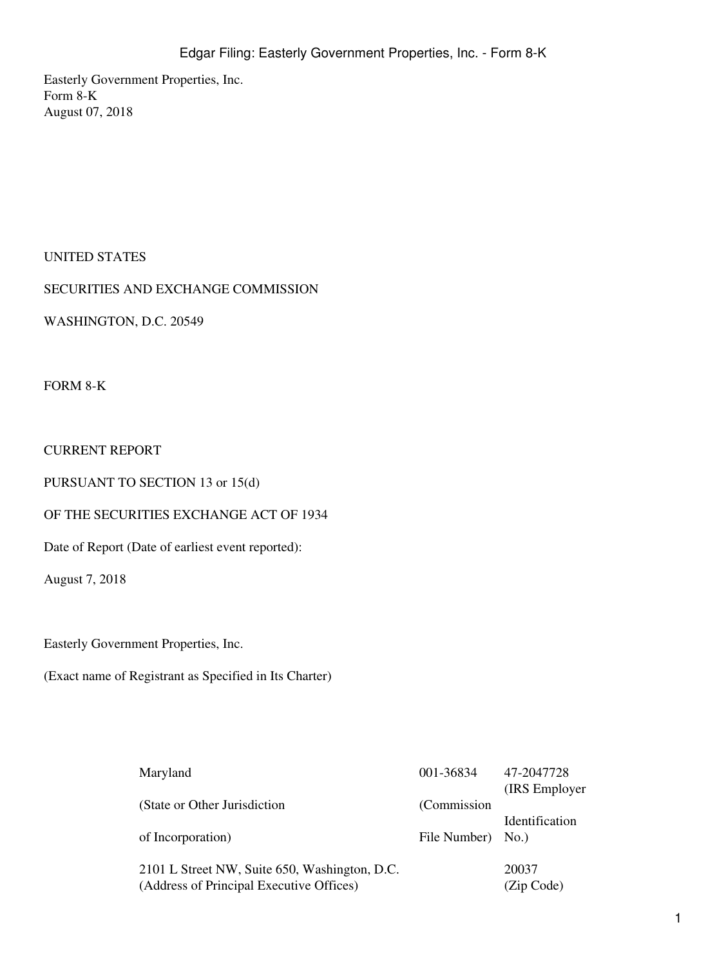Easterly Government Properties, Inc. Form 8-K August 07, 2018

## UNITED STATES

SECURITIES AND EXCHANGE COMMISSION

WASHINGTON, D.C. 20549

FORM 8-K

### CURRENT REPORT

PURSUANT TO SECTION 13 or 15(d)

### OF THE SECURITIES EXCHANGE ACT OF 1934

Date of Report (Date of earliest event reported):

August 7, 2018

Easterly Government Properties, Inc.

(Exact name of Registrant as Specified in Its Charter)

| Maryland                                      | 001-36834    | 47-2047728     |
|-----------------------------------------------|--------------|----------------|
|                                               |              | (IRS Employer) |
| (State or Other Jurisdiction                  | (Commission) |                |
|                                               |              | Identification |
| of Incorporation)                             | File Number) | No.            |
|                                               |              |                |
| 2101 L Street NW, Suite 650, Washington, D.C. |              | 20037          |
| (Address of Principal Executive Offices)      |              | (Zip Code)     |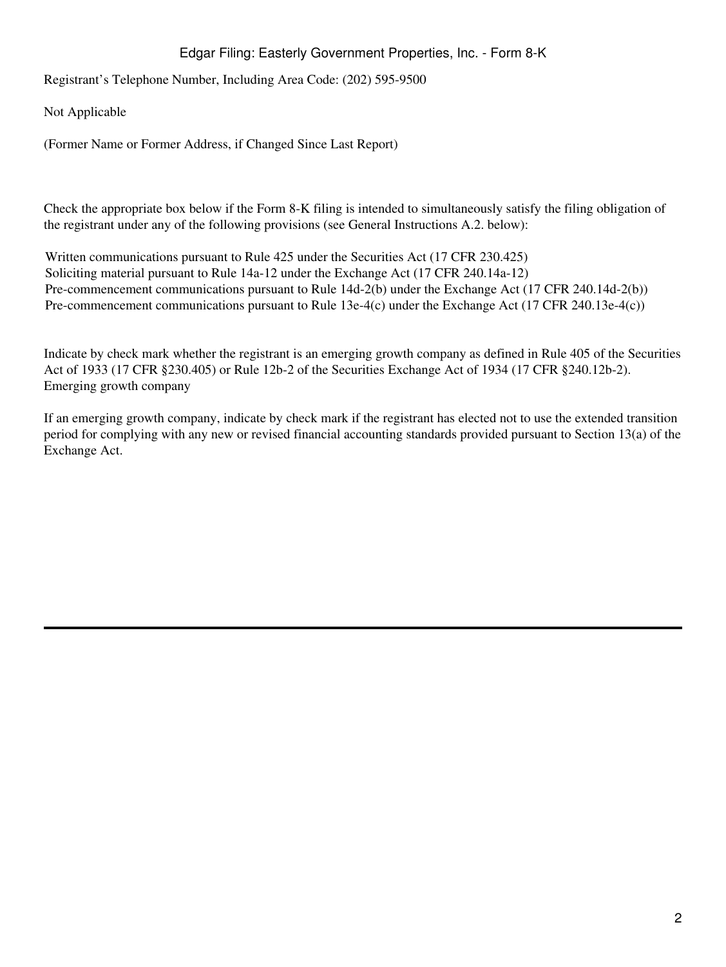# Edgar Filing: Easterly Government Properties, Inc. - Form 8-K

Registrant's Telephone Number, Including Area Code: (202) 595-9500

Not Applicable

(Former Name or Former Address, if Changed Since Last Report)

Check the appropriate box below if the Form 8-K filing is intended to simultaneously satisfy the filing obligation of the registrant under any of the following provisions (see General Instructions A.2. below):

Written communications pursuant to Rule 425 under the Securities Act (17 CFR 230.425) Soliciting material pursuant to Rule 14a-12 under the Exchange Act (17 CFR 240.14a-12) Pre-commencement communications pursuant to Rule 14d-2(b) under the Exchange Act (17 CFR 240.14d-2(b)) Pre-commencement communications pursuant to Rule 13e-4(c) under the Exchange Act (17 CFR 240.13e-4(c))

Indicate by check mark whether the registrant is an emerging growth company as defined in Rule 405 of the Securities Act of 1933 (17 CFR §230.405) or Rule 12b-2 of the Securities Exchange Act of 1934 (17 CFR §240.12b-2). Emerging growth company

If an emerging growth company, indicate by check mark if the registrant has elected not to use the extended transition period for complying with any new or revised financial accounting standards provided pursuant to Section 13(a) of the Exchange Act.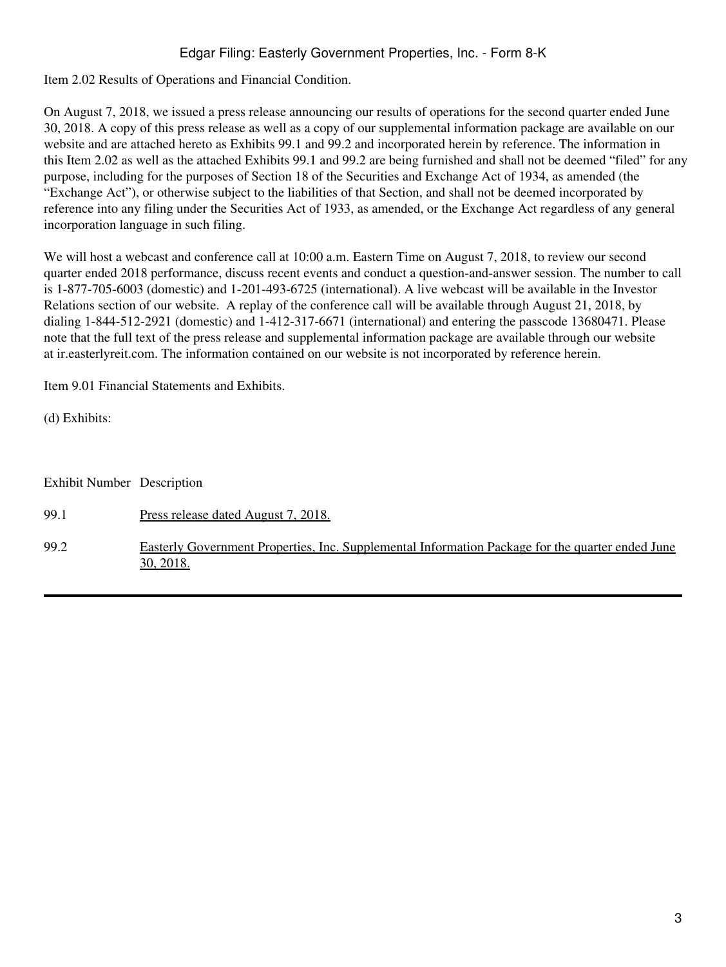# Edgar Filing: Easterly Government Properties, Inc. - Form 8-K

Item 2.02 Results of Operations and Financial Condition.

On August 7, 2018, we issued a press release announcing our results of operations for the second quarter ended June 30, 2018. A copy of this press release as well as a copy of our supplemental information package are available on our website and are attached hereto as Exhibits 99.1 and 99.2 and incorporated herein by reference. The information in this Item 2.02 as well as the attached Exhibits 99.1 and 99.2 are being furnished and shall not be deemed "filed" for any purpose, including for the purposes of Section 18 of the Securities and Exchange Act of 1934, as amended (the "Exchange Act"), or otherwise subject to the liabilities of that Section, and shall not be deemed incorporated by reference into any filing under the Securities Act of 1933, as amended, or the Exchange Act regardless of any general incorporation language in such filing.

We will host a webcast and conference call at 10:00 a.m. Eastern Time on August 7, 2018, to review our second quarter ended 2018 performance, discuss recent events and conduct a question-and-answer session. The number to call is 1-877-705-6003 (domestic) and 1-201-493-6725 (international). A live webcast will be available in the Investor Relations section of our website. A replay of the conference call will be available through August 21, 2018, by dialing 1-844-512-2921 (domestic) and 1-412-317-6671 (international) and entering the passcode 13680471. Please note that the full text of the press release and supplemental information package are available through our website at ir.easterlyreit.com. The information contained on our website is not incorporated by reference herein.

Item 9.01 Financial Statements and Exhibits.

(d) Exhibits:

| <b>Exhibit Number Description</b> |                                                                                                               |
|-----------------------------------|---------------------------------------------------------------------------------------------------------------|
| 99.1                              | <u>Press release dated August 7, 2018.</u>                                                                    |
| 99.2                              | Easterly Government Properties, Inc. Supplemental Information Package for the quarter ended June<br>30, 2018. |